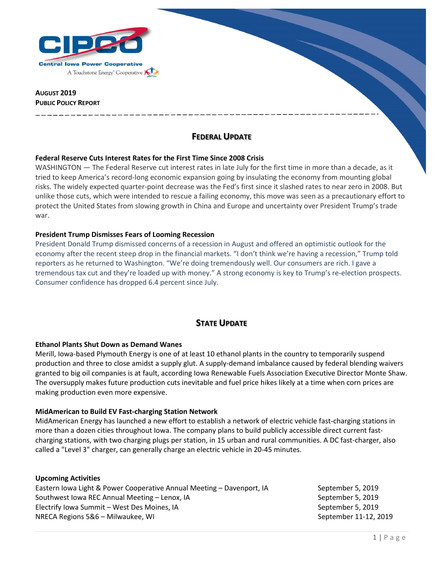

### **AUGUST 2019 PUBLIC POLICY REPORT**

# **FEDERAL UPDATE**

### **Federal Reserve Cuts Interest Rates for the First Time Since 2008 Crisis**

WASHINGTON — The Federal Reserve cut interest rates in late July for the first time in more than a decade, as it tried to keep America's record-long economic expansion going by insulating the economy from mounting global risks. The widely expected quarter-point decrease was the Fed's first since it slashed rates to near zero in 2008. But unlike those cuts, which were intended to rescue a failing economy, this move was seen as a precautionary effort to protect the United States from slowing growth in China and Europe and uncertainty over President Trump's trade war.

### **President Trump Dismisses Fears of Looming Recession**

President Donald Trump dismissed concerns of a recession in August and offered an optimistic outlook for the economy after the recent steep drop in the financial markets. "I don't think we're having a recession," Trump told reporters as he returned to Washington. "We're doing tremendously well. Our consumers are rich. I gave a tremendous tax cut and they're loaded up with money." A strong economy is key to Trump's re-election prospects. Consumer confidence has dropped 6.4 percent since July.

# **STATE UPDATE**

### **Ethanol Plants Shut Down as Demand Wanes**

Merill, Iowa-based Plymouth Energy is one of at least 10 ethanol plants in the country to temporarily suspend production and three to close amidst a supply glut. A supply-demand imbalance caused by federal blending waivers granted to big oil companies is at fault, according Iowa Renewable Fuels Association Executive Director Monte Shaw. The oversupply makes future production cuts inevitable and fuel price hikes likely at a time when corn prices are making production even more expensive.

### **MidAmerican to Build EV Fast-charging Station Network**

MidAmerican Energy has launched a new effort to establish a network of electric vehicle fast-charging stations in more than a dozen cities throughout Iowa. The company plans to build publicly accessible direct current fastcharging stations, with two charging plugs per station, in 15 urban and rural communities. A DC fast-charger, also called a "Level 3" charger, can generally charge an electric vehicle in 20-45 minutes.

### **Upcoming Activities**

Eastern Iowa Light & Power Cooperative Annual Meeting – Davenport, IA September 5, 2019 Southwest Iowa REC Annual Meeting – Lenox, IA September 5, 2019 Electrify Iowa Summit – West Des Moines, IA September 5, 2019 NRECA Regions 5&6 – Milwaukee, WI September 11-12, 2019